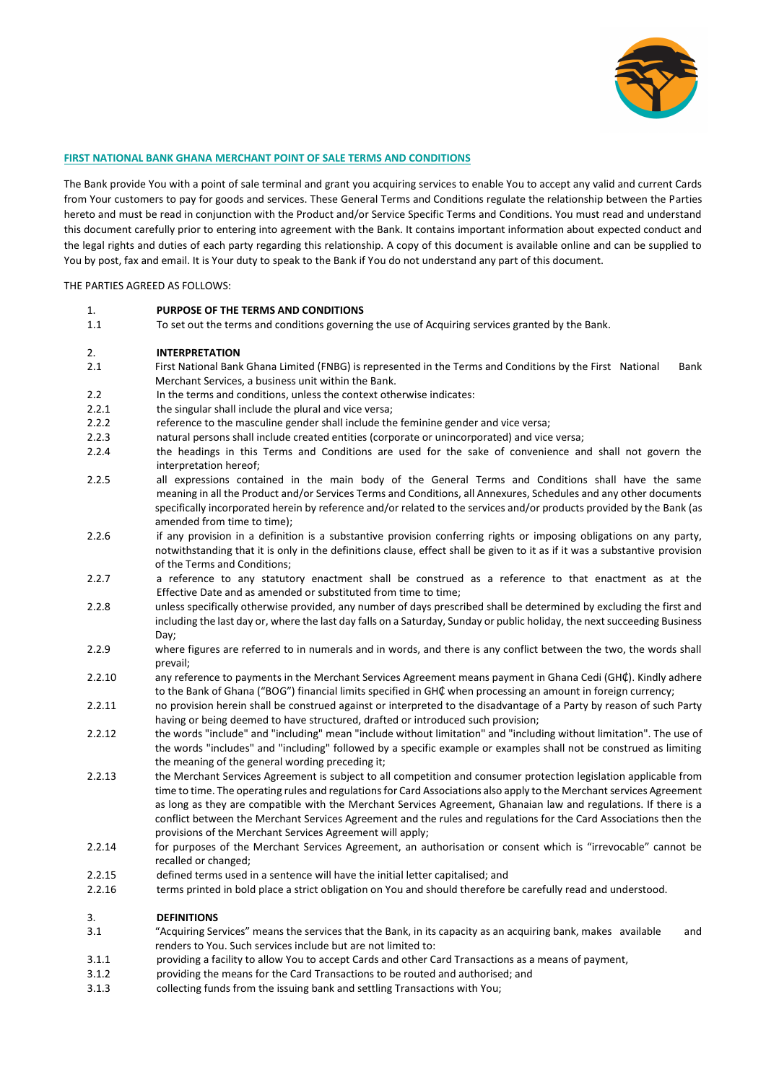

#### **FIRST NATIONAL BANK GHANA MERCHANT POINT OF SALE TERMS AND CONDITIONS**

The Bank provide You with a point of sale terminal and grant you acquiring services to enable You to accept any valid and current Cards from Your customers to pay for goods and services. These General Terms and Conditions regulate the relationship between the Parties hereto and must be read in conjunction with the Product and/or Service Specific Terms and Conditions. You must read and understand this document carefully prior to entering into agreement with the Bank. It contains important information about expected conduct and the legal rights and duties of each party regarding this relationship. A copy of this document is available online and can be supplied to You by post, fax and email. It is Your duty to speak to the Bank if You do not understand any part of this document.

#### THE PARTIES AGREED AS FOLLOWS:

1. **PURPOSE OF THE TERMS AND CONDITIONS** 1.1 To set out the terms and conditions governing the use of Acquiring services granted by the Bank.

#### 2. **INTERPRETATION**

- 2.1 First National Bank Ghana Limited (FNBG) is represented in the Terms and Conditions by the First National Bank Merchant Services, a business unit within the Bank.
- 2.2 In the terms and conditions, unless the context otherwise indicates:
- 2.2.1 the singular shall include the plural and vice versa;
- 2.2.2 reference to the masculine gender shall include the feminine gender and vice versa;
- 2.2.3 natural persons shall include created entities (corporate or unincorporated) and vice versa;
- 2.2.4 the headings in this Terms and Conditions are used for the sake of convenience and shall not govern the interpretation hereof;
- 2.2.5 all expressions contained in the main body of the General Terms and Conditions shall have the same meaning in all the Product and/or Services Terms and Conditions, all Annexures, Schedules and any other documents specifically incorporated herein by reference and/or related to the services and/or products provided by the Bank (as amended from time to time);
- 2.2.6 if any provision in a definition is a substantive provision conferring rights or imposing obligations on any party, notwithstanding that it is only in the definitions clause, effect shall be given to it as if it was a substantive provision of the Terms and Conditions;
- 2.2.7 a reference to any statutory enactment shall be construed as a reference to that enactment as at the Effective Date and as amended or substituted from time to time;
- 2.2.8 unless specifically otherwise provided, any number of days prescribed shall be determined by excluding the first and including the last day or, where the last day falls on a Saturday, Sunday or public holiday, the next succeeding Business Day;
- 2.2.9 where figures are referred to in numerals and in words, and there is any conflict between the two, the words shall prevail;
- 2.2.10 any reference to payments in the Merchant Services Agreement means payment in Ghana Cedi (GH₵). Kindly adhere to the Bank of Ghana ("BOG") financial limits specified in GH₵ when processing an amount in foreign currency;
- 2.2.11 no provision herein shall be construed against or interpreted to the disadvantage of a Party by reason of such Party having or being deemed to have structured, drafted or introduced such provision;
- 2.2.12 the words "include" and "including" mean "include without limitation" and "including without limitation". The use of the words "includes" and "including" followed by a specific example or examples shall not be construed as limiting the meaning of the general wording preceding it;
- 2.2.13 the Merchant Services Agreement is subject to all competition and consumer protection legislation applicable from time to time. The operating rules and regulations for Card Associations also apply to the Merchant services Agreement as long as they are compatible with the Merchant Services Agreement, Ghanaian law and regulations. If there is a conflict between the Merchant Services Agreement and the rules and regulations for the Card Associations then the provisions of the Merchant Services Agreement will apply;
- 2.2.14 for purposes of the Merchant Services Agreement, an authorisation or consent which is "irrevocable" cannot be recalled or changed;
- 2.2.15 defined terms used in a sentence will have the initial letter capitalised; and
- 2.2.16 terms printed in bold place a strict obligation on You and should therefore be carefully read and understood.

#### 3. **DEFINITIONS**

- 3.1 "Acquiring Services" means the services that the Bank, in its capacity as an acquiring bank, makes available and renders to You. Such services include but are not limited to:
- 3.1.1 providing a facility to allow You to accept Cards and other Card Transactions as a means of payment,
- 3.1.2 providing the means for the Card Transactions to be routed and authorised; and
- 3.1.3 collecting funds from the issuing bank and settling Transactions with You;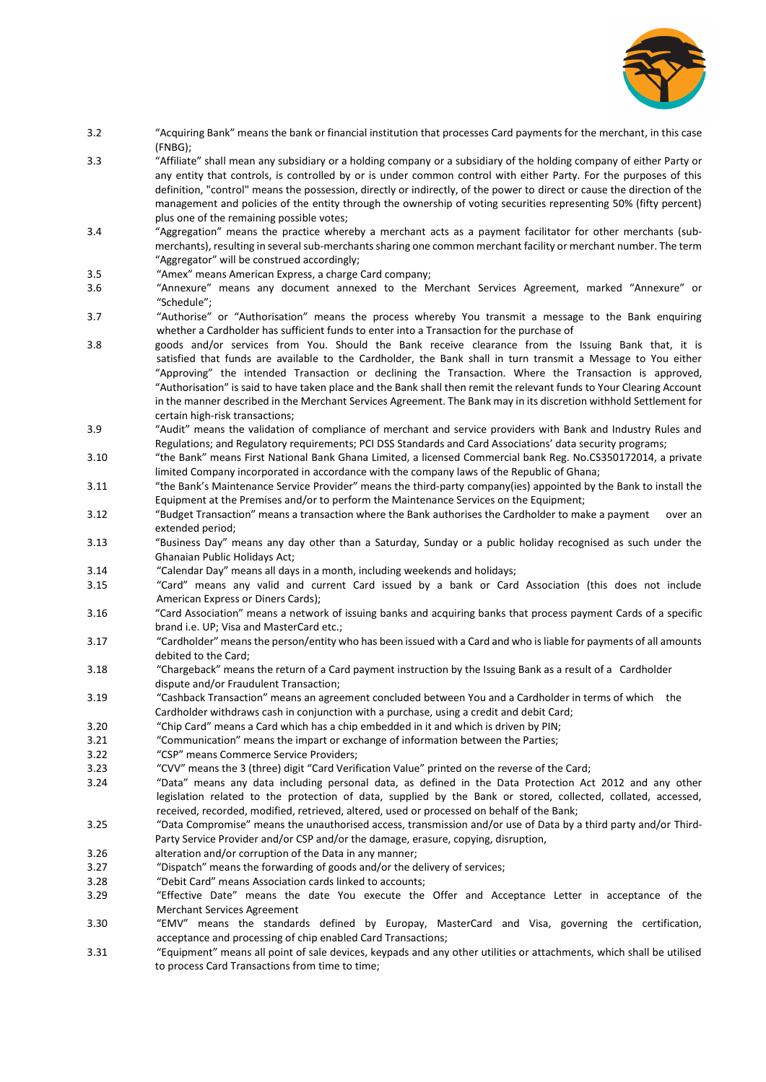

- 3.2 "Acquiring Bank" means the bank or financial institution that processes Card payments for the merchant, in this case (FNBG);
- 3.3 "Affiliate" shall mean any subsidiary or a holding company or a subsidiary of the holding company of either Party or any entity that controls, is controlled by or is under common control with either Party. For the purposes of this definition, "control" means the possession, directly or indirectly, of the power to direct or cause the direction of the management and policies of the entity through the ownership of voting securities representing 50% (fifty percent) plus one of the remaining possible votes;
- 3.4 "Aggregation" means the practice whereby a merchant acts as a payment facilitator for other merchants (submerchants), resulting in several sub-merchants sharing one common merchant facility or merchant number. The term "Aggregator" will be construed accordingly;
- 3.5 "Amex" means American Express, a charge Card company;
- 3.6 "Annexure" means any document annexed to the Merchant Services Agreement, marked "Annexure" or "Schedule";
- 3.7 "Authorise" or "Authorisation" means the process whereby You transmit a message to the Bank enquiring whether a Cardholder has sufficient funds to enter into a Transaction for the purchase of
- 3.8 goods and/or services from You. Should the Bank receive clearance from the Issuing Bank that, it is satisfied that funds are available to the Cardholder, the Bank shall in turn transmit a Message to You either "Approving" the intended Transaction or declining the Transaction. Where the Transaction is approved, "Authorisation" is said to have taken place and the Bank shall then remit the relevant funds to Your Clearing Account in the manner described in the Merchant Services Agreement. The Bank may in its discretion withhold Settlement for certain high-risk transactions;
- 3.9 "Audit" means the validation of compliance of merchant and service providers with Bank and Industry Rules and Regulations; and Regulatory requirements; PCI DSS Standards and Card Associations' data security programs;
- 3.10 "the Bank" means First National Bank Ghana Limited, a licensed Commercial bank Reg. No.CS350172014, a private limited Company incorporated in accordance with the company laws of the Republic of Ghana;
- 3.11 "the Bank's Maintenance Service Provider" means the third-party company(ies) appointed by the Bank to install the Equipment at the Premises and/or to perform the Maintenance Services on the Equipment;
- 3.12 "Budget Transaction" means a transaction where the Bank authorises the Cardholder to make a payment over an extended period;
- 3.13 "Business Day" means any day other than a Saturday, Sunday or a public holiday recognised as such under the Ghanaian Public Holidays Act;
- 3.14 "Calendar Day" means all days in a month, including weekends and holidays;
- 3.15 "Card" means any valid and current Card issued by a bank or Card Association (this does not include American Express or Diners Cards);
- 3.16 "Card Association" means a network of issuing banks and acquiring banks that process payment Cards of a specific brand i.e. UP; Visa and MasterCard etc.;
- 3.17 "Cardholder" means the person/entity who has been issued with a Card and who is liable for payments of all amounts debited to the Card;
- 3.18 "Chargeback" means the return of a Card payment instruction by the Issuing Bank as a result of a Cardholder dispute and/or Fraudulent Transaction;
- 3.19 "Cashback Transaction" means an agreement concluded between You and a Cardholder in terms of which the Cardholder withdraws cash in conjunction with a purchase, using a credit and debit Card;
- 3.20 "Chip Card" means a Card which has a chip embedded in it and which is driven by PIN;
- 3.21 "Communication" means the impart or exchange of information between the Parties;
- 3.22 "CSP" means Commerce Service Providers;
- 3.23 "CVV" means the 3 (three) digit "Card Verification Value" printed on the reverse of the Card;
- 3.24 "Data" means any data including personal data, as defined in the Data Protection Act 2012 and any other legislation related to the protection of data, supplied by the Bank or stored, collected, collated, accessed, received, recorded, modified, retrieved, altered, used or processed on behalf of the Bank;
- 3.25 "Data Compromise" means the unauthorised access, transmission and/or use of Data by a third party and/or Third-Party Service Provider and/or CSP and/or the damage, erasure, copying, disruption,
- 3.26 alteration and/or corruption of the Data in any manner;
- 3.27 "Dispatch" means the forwarding of goods and/or the delivery of services;
- 3.28 "Debit Card" means Association cards linked to accounts;
- 3.29 "Effective Date" means the date You execute the Offer and Acceptance Letter in acceptance of the Merchant Services Agreement
- 3.30 "EMV" means the standards defined by Europay, MasterCard and Visa, governing the certification, acceptance and processing of chip enabled Card Transactions;
- 3.31 "Equipment" means all point of sale devices, keypads and any other utilities or attachments, which shall be utilised to process Card Transactions from time to time;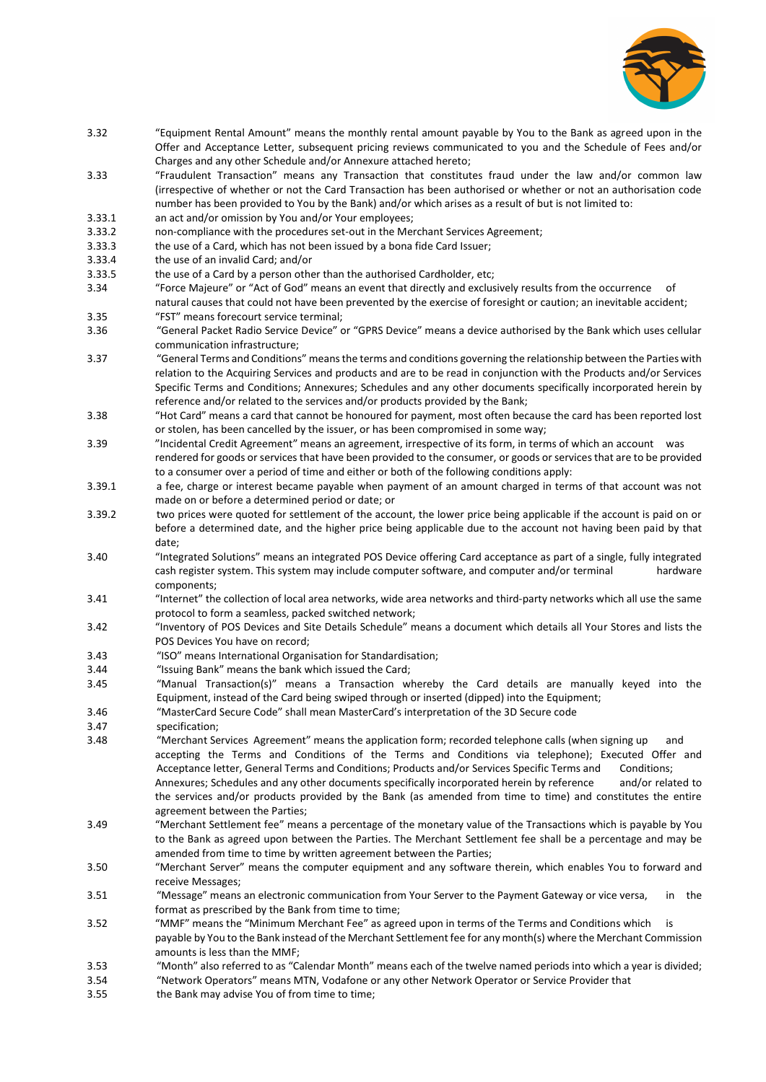

- 3.32 "Equipment Rental Amount" means the monthly rental amount payable by You to the Bank as agreed upon in the Offer and Acceptance Letter, subsequent pricing reviews communicated to you and the Schedule of Fees and/or Charges and any other Schedule and/or Annexure attached hereto;
- 3.33 "Fraudulent Transaction" means any Transaction that constitutes fraud under the law and/or common law (irrespective of whether or not the Card Transaction has been authorised or whether or not an authorisation code number has been provided to You by the Bank) and/or which arises as a result of but is not limited to:
- 3.33.1 an act and/or omission by You and/or Your employees;

3.33.2 non-compliance with the procedures set-out in the Merchant Services Agreement;

- 3.33.3 the use of a Card, which has not been issued by a bona fide Card Issuer;
- 3.33.4 the use of an invalid Card; and/or
- 3.33.5 the use of a Card by a person other than the authorised Cardholder, etc;
- 3.34 "Force Majeure" or "Act of God" means an event that directly and exclusively results from the occurrence natural causes that could not have been prevented by the exercise of foresight or caution; an inevitable accident;
- 3.35 "FST" means forecourt service terminal;
- 3.36 "General Packet Radio Service Device" or "GPRS Device" means a device authorised by the Bank which uses cellular communication infrastructure;
- 3.37 "General Terms and Conditions" means the terms and conditions governing the relationship between the Parties with relation to the Acquiring Services and products and are to be read in conjunction with the Products and/or Services Specific Terms and Conditions; Annexures; Schedules and any other documents specifically incorporated herein by reference and/or related to the services and/or products provided by the Bank;
- 3.38 "Hot Card" means a card that cannot be honoured for payment, most often because the card has been reported lost or stolen, has been cancelled by the issuer, or has been compromised in some way;
- 3.39 "Incidental Credit Agreement" means an agreement, irrespective of its form, in terms of which an account was rendered for goods or services that have been provided to the consumer, or goods or services that are to be provided to a consumer over a period of time and either or both of the following conditions apply:
- 3.39.1 a fee, charge or interest became payable when payment of an amount charged in terms of that account was not made on or before a determined period or date; or
- 3.39.2 two prices were quoted for settlement of the account, the lower price being applicable if the account is paid on or before a determined date, and the higher price being applicable due to the account not having been paid by that date;
- 3.40 "Integrated Solutions" means an integrated POS Device offering Card acceptance as part of a single, fully integrated cash register system. This system may include computer software, and computer and/or terminal components;
- 3.41 "Internet" the collection of local area networks, wide area networks and third-party networks which all use the same protocol to form a seamless, packed switched network;
- 3.42 "Inventory of POS Devices and Site Details Schedule" means a document which details all Your Stores and lists the POS Devices You have on record;
- 3.43 "ISO" means International Organisation for Standardisation;
- 3.44 "Issuing Bank" means the bank which issued the Card;
- 3.45 "Manual Transaction(s)" means a Transaction whereby the Card details are manually keyed into the Equipment, instead of the Card being swiped through or inserted (dipped) into the Equipment;
- 3.46 "MasterCard Secure Code" shall mean MasterCard's interpretation of the 3D Secure code
- 3.47 specification;
- 3.48 "Merchant Services Agreement" means the application form; recorded telephone calls (when signing up and accepting the Terms and Conditions of the Terms and Conditions via telephone); Executed Offer and Acceptance letter, General Terms and Conditions; Products and/or Services Specific Terms and Conditions; Annexures; Schedules and any other documents specifically incorporated herein by reference and/or related to
- the services and/or products provided by the Bank (as amended from time to time) and constitutes the entire agreement between the Parties; 3.49 "Merchant Settlement fee" means a percentage of the monetary value of the Transactions which is payable by You
- to the Bank as agreed upon between the Parties. The Merchant Settlement fee shall be a percentage and may be amended from time to time by written agreement between the Parties;
- 3.50 "Merchant Server" means the computer equipment and any software therein, which enables You to forward and receive Messages;
- 3.51 "Message" means an electronic communication from Your Server to the Payment Gateway or vice versa, in the format as prescribed by the Bank from time to time:
- 3.52 "MMF" means the "Minimum Merchant Fee" as agreed upon in terms of the Terms and Conditions which is payable by You to the Bank instead of the Merchant Settlement fee for any month(s) where the Merchant Commission amounts is less than the MMF;
- 3.53 "Month" also referred to as "Calendar Month" means each of the twelve named periods into which a year is divided;
- 3.54 "Network Operators" means MTN, Vodafone or any other Network Operator or Service Provider that
- 3.55 the Bank may advise You of from time to time;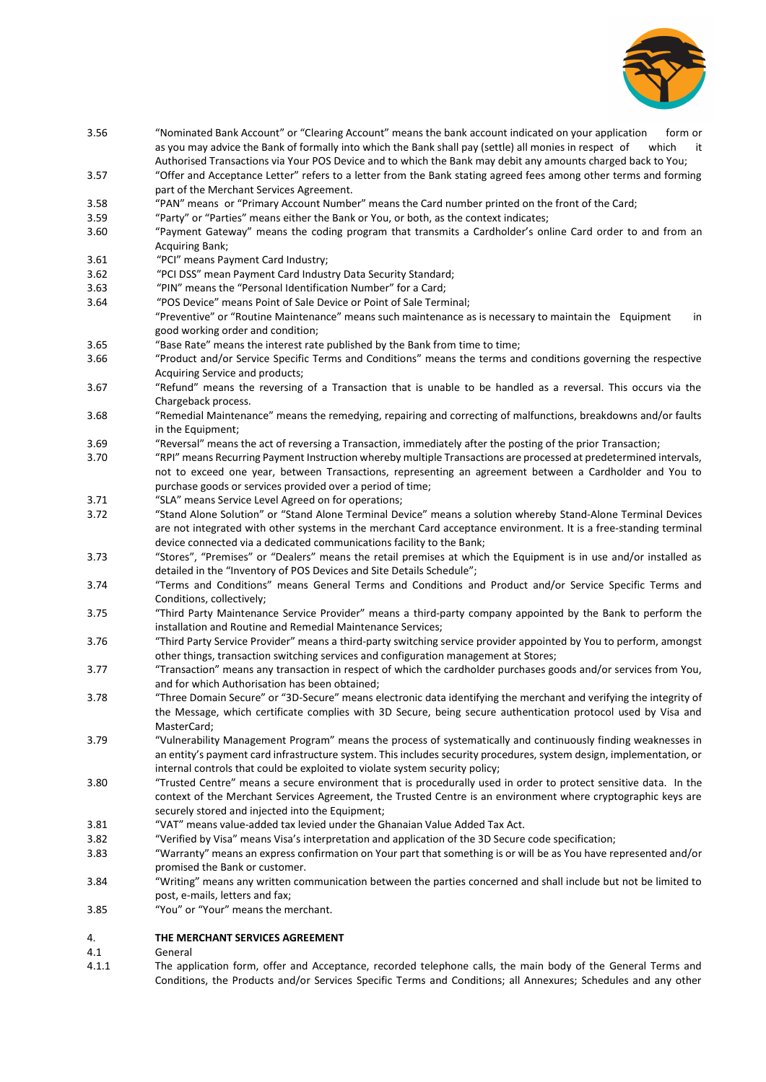

Authorised Transactions via Your POS Device and to which the Bank may debit any amounts charged back to You; 3.57 "Offer and Acceptance Letter" refers to a letter from the Bank stating agreed fees among other terms and forming part of the Merchant Services Agreement. 3.58 "PAN" means or "Primary Account Number" means the Card number printed on the front of the Card; 3.59 "Party" or "Parties" means either the Bank or You, or both, as the context indicates; 3.60 "Payment Gateway" means the coding program that transmits a Cardholder's online Card order to and from an Acquiring Bank; 3.61 "PCI" means Payment Card Industry; 3.62 "PCI DSS" mean Payment Card Industry Data Security Standard; 3.63 "PIN" means the "Personal Identification Number" for a Card; 3.64 "POS Device" means Point of Sale Device or Point of Sale Terminal; "Preventive" or "Routine Maintenance" means such maintenance as is necessary to maintain the Equipment in good working order and condition; 3.65 "Base Rate" means the interest rate published by the Bank from time to time; 3.66 "Product and/or Service Specific Terms and Conditions" means the terms and conditions governing the respective Acquiring Service and products; 3.67 "Refund" means the reversing of a Transaction that is unable to be handled as a reversal. This occurs via the Chargeback process. 3.68 "Remedial Maintenance" means the remedying, repairing and correcting of malfunctions, breakdowns and/or faults in the Equipment; 3.69 "Reversal" means the act of reversing a Transaction, immediately after the posting of the prior Transaction; 3.70 "RPI" means Recurring Payment Instruction whereby multiple Transactions are processed at predetermined intervals, not to exceed one year, between Transactions, representing an agreement between a Cardholder and You to purchase goods or services provided over a period of time; 3.71 "SLA" means Service Level Agreed on for operations; 3.72 "Stand Alone Solution" or "Stand Alone Terminal Device" means a solution whereby Stand-Alone Terminal Devices are not integrated with other systems in the merchant Card acceptance environment. It is a free-standing terminal device connected via a dedicated communications facility to the Bank; 3.73 "Stores", "Premises" or "Dealers" means the retail premises at which the Equipment is in use and/or installed as detailed in the "Inventory of POS Devices and Site Details Schedule";

3.56 "Nominated Bank Account" or "Clearing Account" means the bank account indicated on your application form or

as you may advice the Bank of formally into which the Bank shall pay (settle) all monies in respect of which

- 3.74 "Terms and Conditions" means General Terms and Conditions and Product and/or Service Specific Terms and Conditions, collectively;
- 3.75 "Third Party Maintenance Service Provider" means a third-party company appointed by the Bank to perform the installation and Routine and Remedial Maintenance Services;
- 3.76 "Third Party Service Provider" means a third-party switching service provider appointed by You to perform, amongst other things, transaction switching services and configuration management at Stores;
- 3.77 "Transaction" means any transaction in respect of which the cardholder purchases goods and/or services from You, and for which Authorisation has been obtained;
- 3.78 "Three Domain Secure" or "3D-Secure" means electronic data identifying the merchant and verifying the integrity of the Message, which certificate complies with 3D Secure, being secure authentication protocol used by Visa and MasterCard;
- 3.79 "Vulnerability Management Program" means the process of systematically and continuously finding weaknesses in an entity's payment card infrastructure system. This includes security procedures, system design, implementation, or internal controls that could be exploited to violate system security policy;
- 3.80 "Trusted Centre" means a secure environment that is procedurally used in order to protect sensitive data. In the context of the Merchant Services Agreement, the Trusted Centre is an environment where cryptographic keys are securely stored and injected into the Equipment;
- 3.81 "VAT" means value-added tax levied under the Ghanaian Value Added Tax Act.
- 3.82 "Verified by Visa" means Visa's interpretation and application of the 3D Secure code specification;
- 3.83 "Warranty" means an express confirmation on Your part that something is or will be as You have represented and/or promised the Bank or customer.
- 3.84 "Writing" means any written communication between the parties concerned and shall include but not be limited to post, e-mails, letters and fax;
- 3.85 "You" or "Your" means the merchant.

## 4. **THE MERCHANT SERVICES AGREEMENT**

#### 4.1 General

4.1.1 The application form, offer and Acceptance, recorded telephone calls, the main body of the General Terms and Conditions, the Products and/or Services Specific Terms and Conditions; all Annexures; Schedules and any other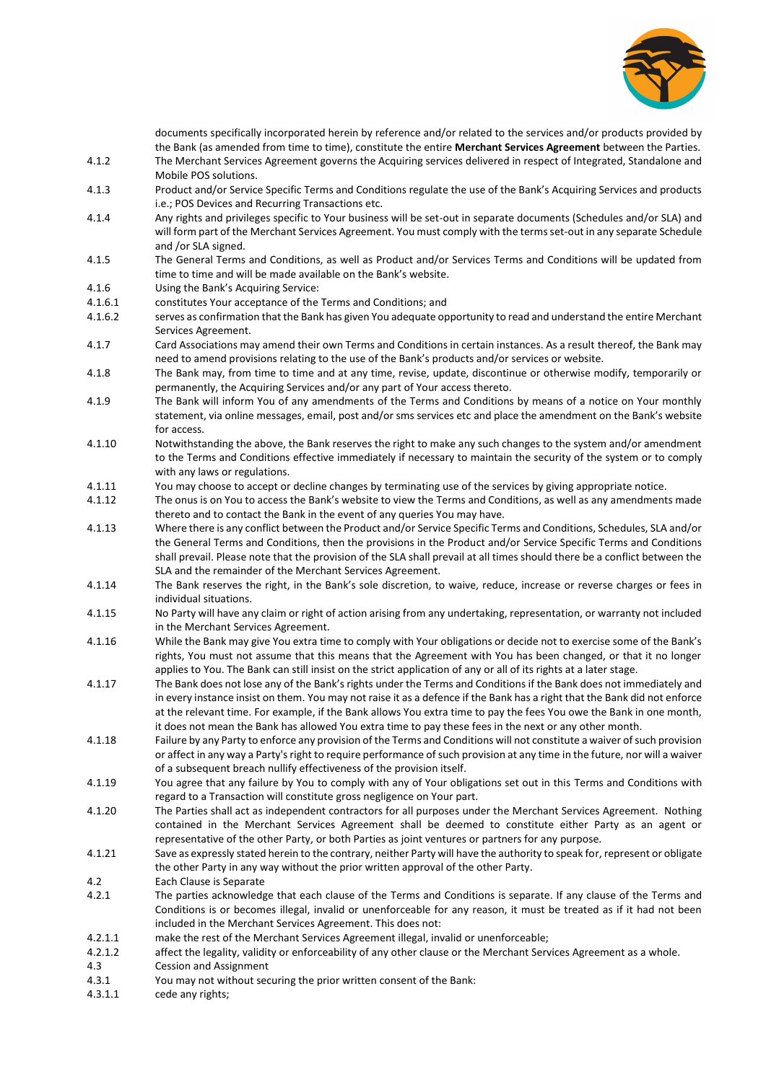

documents specifically incorporated herein by reference and/or related to the services and/or products provided by the Bank (as amended from time to time), constitute the entire **Merchant Services Agreement** between the Parties.

- 4.1.2 The Merchant Services Agreement governs the Acquiring services delivered in respect of Integrated, Standalone and Mobile POS solutions.
- 4.1.3 Product and/or Service Specific Terms and Conditions regulate the use of the Bank's Acquiring Services and products i.e.; POS Devices and Recurring Transactions etc.
- 4.1.4 Any rights and privileges specific to Your business will be set-out in separate documents (Schedules and/or SLA) and will form part of the Merchant Services Agreement. You must comply with the terms set-out in any separate Schedule and /or SLA signed.
- 4.1.5 The General Terms and Conditions, as well as Product and/or Services Terms and Conditions will be updated from time to time and will be made available on the Bank's website.
- 4.1.6 Using the Bank's Acquiring Service:
- 4.1.6.1 constitutes Your acceptance of the Terms and Conditions; and
- 4.1.6.2 serves as confirmation that the Bank has given You adequate opportunity to read and understand the entire Merchant Services Agreement.
- 4.1.7 Card Associations may amend their own Terms and Conditions in certain instances. As a result thereof, the Bank may need to amend provisions relating to the use of the Bank's products and/or services or website.
- 4.1.8 The Bank may, from time to time and at any time, revise, update, discontinue or otherwise modify, temporarily or permanently, the Acquiring Services and/or any part of Your access thereto.
- 4.1.9 The Bank will inform You of any amendments of the Terms and Conditions by means of a notice on Your monthly statement, via online messages, email, post and/or sms services etc and place the amendment on the Bank's website for access.
- 4.1.10 Notwithstanding the above, the Bank reserves the right to make any such changes to the system and/or amendment to the Terms and Conditions effective immediately if necessary to maintain the security of the system or to comply with any laws or regulations.
- 4.1.11 You may choose to accept or decline changes by terminating use of the services by giving appropriate notice.
- 4.1.12 The onus is on You to access the Bank's website to view the Terms and Conditions, as well as any amendments made thereto and to contact the Bank in the event of any queries You may have.
- 4.1.13 Where there is any conflict between the Product and/or Service Specific Terms and Conditions, Schedules, SLA and/or the General Terms and Conditions, then the provisions in the Product and/or Service Specific Terms and Conditions shall prevail. Please note that the provision of the SLA shall prevail at all times should there be a conflict between the SLA and the remainder of the Merchant Services Agreement.
- 4.1.14 The Bank reserves the right, in the Bank's sole discretion, to waive, reduce, increase or reverse charges or fees in individual situations.
- 4.1.15 No Party will have any claim or right of action arising from any undertaking, representation, or warranty not included in the Merchant Services Agreement.
- 4.1.16 While the Bank may give You extra time to comply with Your obligations or decide not to exercise some of the Bank's rights, You must not assume that this means that the Agreement with You has been changed, or that it no longer applies to You. The Bank can still insist on the strict application of any or all of its rights at a later stage.
- 4.1.17 The Bank does not lose any of the Bank's rights under the Terms and Conditions if the Bank does not immediately and in every instance insist on them. You may not raise it as a defence if the Bank has a right that the Bank did not enforce at the relevant time. For example, if the Bank allows You extra time to pay the fees You owe the Bank in one month, it does not mean the Bank has allowed You extra time to pay these fees in the next or any other month.
- 4.1.18 Failure by any Party to enforce any provision of the Terms and Conditions will not constitute a waiver of such provision or affect in any way a Party's right to require performance of such provision at any time in the future, nor will a waiver of a subsequent breach nullify effectiveness of the provision itself.
- 4.1.19 You agree that any failure by You to comply with any of Your obligations set out in this Terms and Conditions with regard to a Transaction will constitute gross negligence on Your part.
- 4.1.20 The Parties shall act as independent contractors for all purposes under the Merchant Services Agreement. Nothing contained in the Merchant Services Agreement shall be deemed to constitute either Party as an agent or representative of the other Party, or both Parties as joint ventures or partners for any purpose.
- 4.1.21 Save as expressly stated herein to the contrary, neither Party will have the authority to speak for, represent or obligate the other Party in any way without the prior written approval of the other Party.
- 4.2 Each Clause is Separate
- 4.2.1 The parties acknowledge that each clause of the Terms and Conditions is separate. If any clause of the Terms and Conditions is or becomes illegal, invalid or unenforceable for any reason, it must be treated as if it had not been included in the Merchant Services Agreement. This does not:
- 4.2.1.1 make the rest of the Merchant Services Agreement illegal, invalid or unenforceable;
- 4.2.1.2 affect the legality, validity or enforceability of any other clause or the Merchant Services Agreement as a whole.
- 4.3 Cession and Assignment
- 4.3.1 You may not without securing the prior written consent of the Bank:
- 4.3.1.1 cede any rights;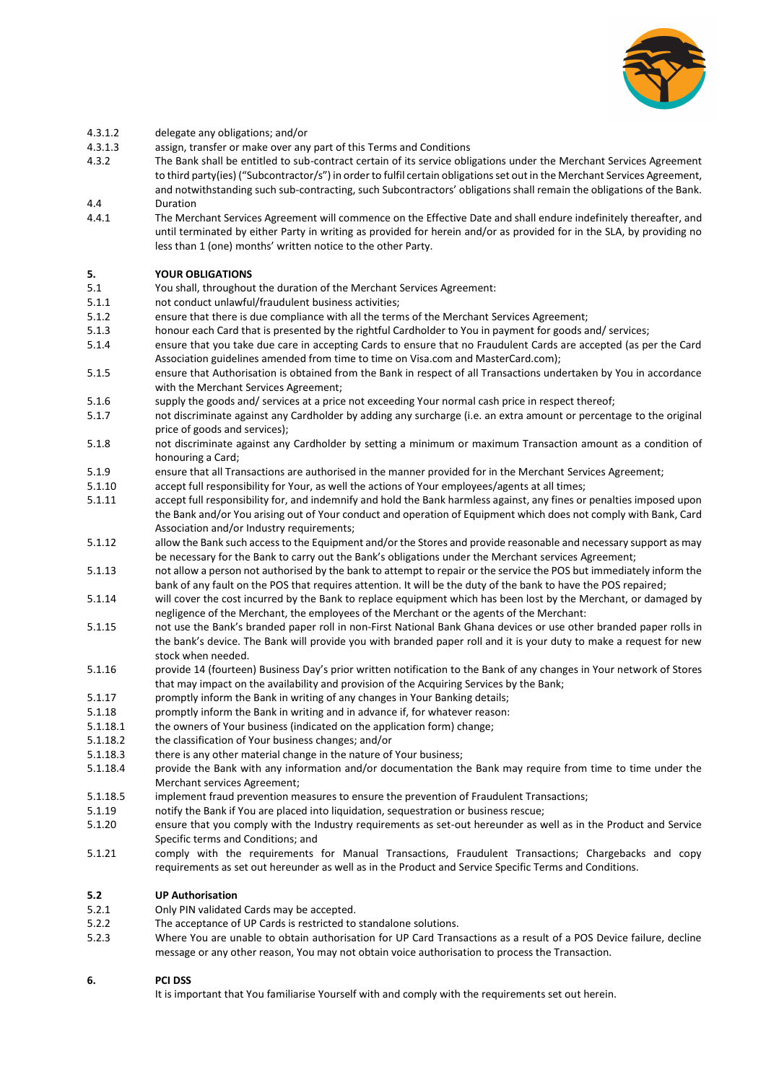

- 4.3.1.2 delegate any obligations; and/or
- 4.3.1.3 assign, transfer or make over any part of this Terms and Conditions
- 4.3.2 The Bank shall be entitled to sub-contract certain of its service obligations under the Merchant Services Agreement to third party(ies) ("Subcontractor/s") in order to fulfil certain obligations set out in the Merchant Services Agreement, and notwithstanding such sub-contracting, such Subcontractors' obligations shall remain the obligations of the Bank. 4.4 Duration
- 4.4.1 The Merchant Services Agreement will commence on the Effective Date and shall endure indefinitely thereafter, and until terminated by either Party in writing as provided for herein and/or as provided for in the SLA, by providing no less than 1 (one) months' written notice to the other Party.

## **5. YOUR OBLIGATIONS**

- 5.1 You shall, throughout the duration of the Merchant Services Agreement:
- 5.1.1 not conduct unlawful/fraudulent business activities;
- 5.1.2 ensure that there is due compliance with all the terms of the Merchant Services Agreement;
- 5.1.3 honour each Card that is presented by the rightful Cardholder to You in payment for goods and/ services;
- 5.1.4 ensure that you take due care in accepting Cards to ensure that no Fraudulent Cards are accepted (as per the Card Association guidelines amended from time to time on Visa.com and MasterCard.com);
- 5.1.5 ensure that Authorisation is obtained from the Bank in respect of all Transactions undertaken by You in accordance with the Merchant Services Agreement;
- 5.1.6 supply the goods and/ services at a price not exceeding Your normal cash price in respect thereof;
- 5.1.7 not discriminate against any Cardholder by adding any surcharge (i.e. an extra amount or percentage to the original price of goods and services);
- 5.1.8 not discriminate against any Cardholder by setting a minimum or maximum Transaction amount as a condition of honouring a Card;
- 5.1.9 ensure that all Transactions are authorised in the manner provided for in the Merchant Services Agreement;
- 5.1.10 accept full responsibility for Your, as well the actions of Your employees/agents at all times;
- 5.1.11 accept full responsibility for, and indemnify and hold the Bank harmless against, any fines or penalties imposed upon the Bank and/or You arising out of Your conduct and operation of Equipment which does not comply with Bank, Card Association and/or Industry requirements;
- 5.1.12 allow the Bank such access to the Equipment and/or the Stores and provide reasonable and necessary support as may be necessary for the Bank to carry out the Bank's obligations under the Merchant services Agreement;
- 5.1.13 not allow a person not authorised by the bank to attempt to repair or the service the POS but immediately inform the bank of any fault on the POS that requires attention. It will be the duty of the bank to have the POS repaired;
- 5.1.14 will cover the cost incurred by the Bank to replace equipment which has been lost by the Merchant, or damaged by negligence of the Merchant, the employees of the Merchant or the agents of the Merchant:
- 5.1.15 not use the Bank's branded paper roll in non-First National Bank Ghana devices or use other branded paper rolls in the bank's device. The Bank will provide you with branded paper roll and it is your duty to make a request for new stock when needed.
- 5.1.16 provide 14 (fourteen) Business Day's prior written notification to the Bank of any changes in Your network of Stores that may impact on the availability and provision of the Acquiring Services by the Bank;
- 5.1.17 promptly inform the Bank in writing of any changes in Your Banking details;
- 5.1.18 promptly inform the Bank in writing and in advance if, for whatever reason:
- 5.1.18.1 the owners of Your business (indicated on the application form) change;
- 5.1.18.2 the classification of Your business changes; and/or
- 5.1.18.3 there is any other material change in the nature of Your business;
- 5.1.18.4 provide the Bank with any information and/or documentation the Bank may require from time to time under the Merchant services Agreement;
- 5.1.18.5 implement fraud prevention measures to ensure the prevention of Fraudulent Transactions;
- 5.1.19 notify the Bank if You are placed into liquidation, sequestration or business rescue;
- 5.1.20 ensure that you comply with the Industry requirements as set-out hereunder as well as in the Product and Service Specific terms and Conditions; and
- 5.1.21 comply with the requirements for Manual Transactions, Fraudulent Transactions; Chargebacks and copy requirements as set out hereunder as well as in the Product and Service Specific Terms and Conditions.

## **5.2 UP Authorisation**

- 5.2.1 Only PIN validated Cards may be accepted.
- 5.2.2 The acceptance of UP Cards is restricted to standalone solutions.
- 5.2.3 Where You are unable to obtain authorisation for UP Card Transactions as a result of a POS Device failure, decline message or any other reason, You may not obtain voice authorisation to process the Transaction.

## **6. PCI DSS**

It is important that You familiarise Yourself with and comply with the requirements set out herein.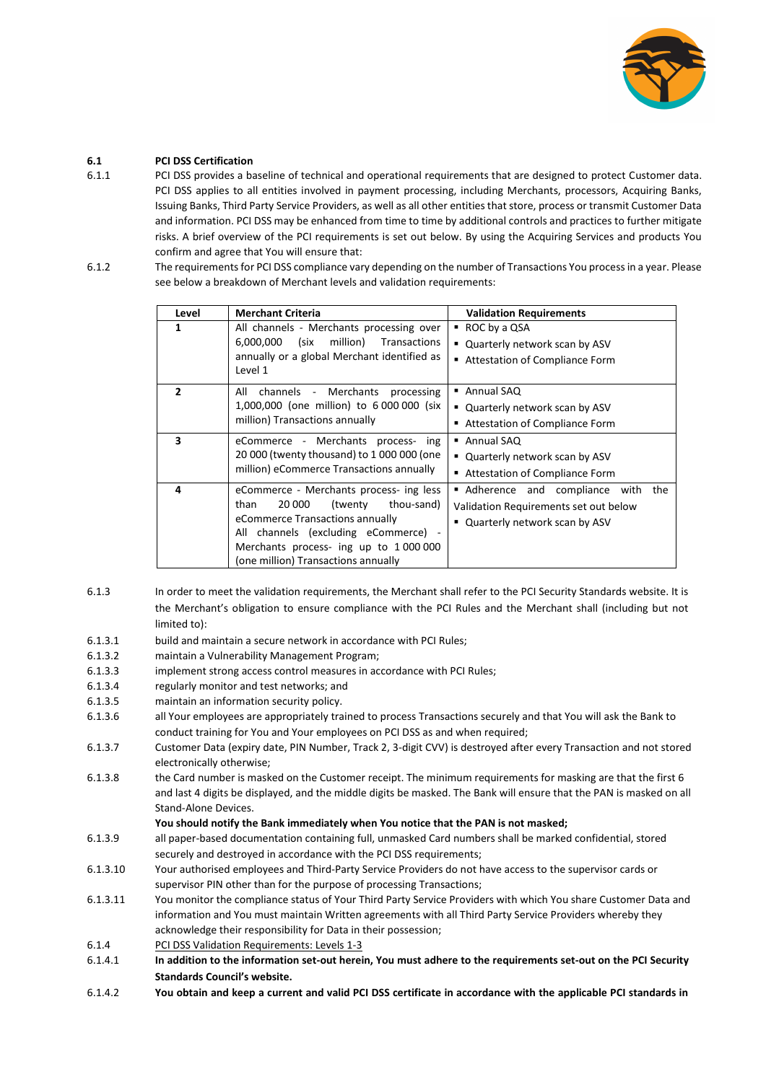

# **6.1 PCI DSS Certification**

- 6.1.1 PCI DSS provides a baseline of technical and operational requirements that are designed to protect Customer data. PCI DSS applies to all entities involved in payment processing, including Merchants, processors, Acquiring Banks, Issuing Banks, Third Party Service Providers, as well as all other entities that store, process or transmit Customer Data and information. PCI DSS may be enhanced from time to time by additional controls and practices to further mitigate risks. A brief overview of the PCI requirements is set out below. By using the Acquiring Services and products You confirm and agree that You will ensure that:
- 6.1.2 The requirements for PCI DSS compliance vary depending on the number of Transactions You process in a year. Please see below a breakdown of Merchant levels and validation requirements:

| Level          | <b>Merchant Criteria</b>                                                                                                                                                                                                                     | <b>Validation Requirements</b>                                                                                   |  |
|----------------|----------------------------------------------------------------------------------------------------------------------------------------------------------------------------------------------------------------------------------------------|------------------------------------------------------------------------------------------------------------------|--|
| 1              | All channels - Merchants processing over<br>million)<br>6,000,000<br>(six<br>Transactions<br>annually or a global Merchant identified as<br>Level 1                                                                                          | $\blacksquare$ ROC by a QSA<br>" Quarterly network scan by ASV<br>■ Attestation of Compliance Form               |  |
| $\overline{2}$ | channels - Merchants<br>All<br>processing<br>1,000,000 (one million) to 6 000 000 (six<br>million) Transactions annually                                                                                                                     | ■ Annual SAQ<br>" Quarterly network scan by ASV<br>■ Attestation of Compliance Form                              |  |
| 3              | eCommerce - Merchants process- ing<br>20 000 (twenty thousand) to 1 000 000 (one<br>million) eCommerce Transactions annually                                                                                                                 | ■ Annual SAQ<br>" Quarterly network scan by ASV<br>■ Attestation of Compliance Form                              |  |
| 4              | eCommerce - Merchants process- ing less<br>than<br>20 000<br>thou-sand)<br>twenty)<br>eCommerce Transactions annually<br>All channels (excluding eCommerce) -<br>Merchants process- ing up to 1000000<br>(one million) Transactions annually | Adherence and compliance with<br>the<br>Validation Requirements set out below<br>" Quarterly network scan by ASV |  |

- 6.1.3 In order to meet the validation requirements, the Merchant shall refer to the PCI Security Standards website. It is the Merchant's obligation to ensure compliance with the PCI Rules and the Merchant shall (including but not limited to):
- 6.1.3.1 build and maintain a secure network in accordance with PCI Rules;
- 6.1.3.2 maintain a Vulnerability Management Program;
- 6.1.3.3 implement strong access control measures in accordance with PCI Rules;
- 6.1.3.4 regularly monitor and test networks; and
- 6.1.3.5 maintain an information security policy.
- 6.1.3.6 all Your employees are appropriately trained to process Transactions securely and that You will ask the Bank to conduct training for You and Your employees on PCI DSS as and when required;
- 6.1.3.7 Customer Data (expiry date, PIN Number, Track 2, 3-digit CVV) is destroyed after every Transaction and not stored electronically otherwise;
- 6.1.3.8 the Card number is masked on the Customer receipt. The minimum requirements for masking are that the first 6 and last 4 digits be displayed, and the middle digits be masked. The Bank will ensure that the PAN is masked on all Stand-Alone Devices.

## **You should notify the Bank immediately when You notice that the PAN is not masked;**

- 6.1.3.9 all paper-based documentation containing full, unmasked Card numbers shall be marked confidential, stored securely and destroyed in accordance with the PCI DSS requirements;
- 6.1.3.10 Your authorised employees and Third-Party Service Providers do not have access to the supervisor cards or supervisor PIN other than for the purpose of processing Transactions;
- 6.1.3.11 You monitor the compliance status of Your Third Party Service Providers with which You share Customer Data and information and You must maintain Written agreements with all Third Party Service Providers whereby they acknowledge their responsibility for Data in their possession;
- 6.1.4 PCI DSS Validation Requirements: Levels 1-3
- 6.1.4.1 **In addition to the information set-out herein, You must adhere to the requirements set-out on the PCI Security Standards Council's website.**
- 6.1.4.2 **You obtain and keep a current and valid PCI DSS certificate in accordance with the applicable PCI standards in**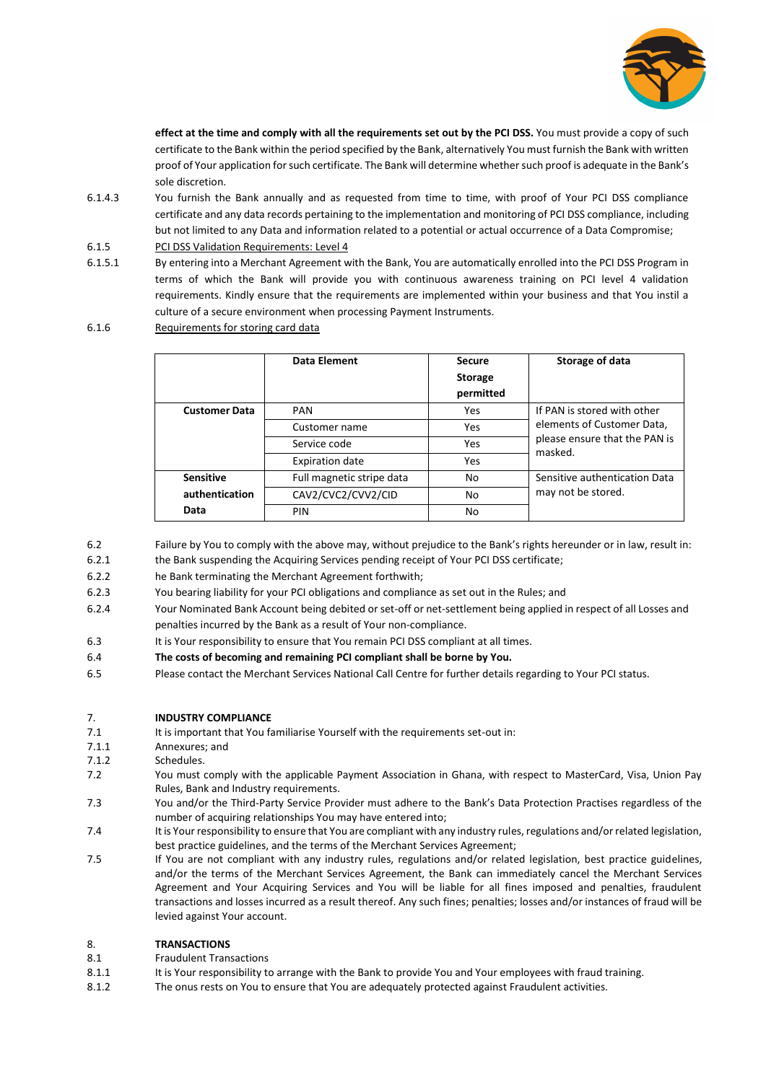

**effect at the time and comply with all the requirements set out by the PCI DSS.** You must provide a copy of such certificate to the Bank within the period specified by the Bank, alternatively You must furnish the Bank with written proof of Your application for such certificate. The Bank will determine whether such proof is adequate in the Bank's sole discretion.

- 6.1.4.3 You furnish the Bank annually and as requested from time to time, with proof of Your PCI DSS compliance certificate and any data records pertaining to the implementation and monitoring of PCI DSS compliance, including but not limited to any Data and information related to a potential or actual occurrence of a Data Compromise;
- 6.1.5 PCI DSS Validation Requirements: Level 4
- 6.1.5.1 By entering into a Merchant Agreement with the Bank, You are automatically enrolled into the PCI DSS Program in terms of which the Bank will provide you with continuous awareness training on PCI level 4 validation requirements. Kindly ensure that the requirements are implemented within your business and that You instil a culture of a secure environment when processing Payment Instruments.
- 6.1.6 Requirements for storing card data

|                      | Data Element              | <b>Secure</b><br><b>Storage</b><br>permitted | Storage of data                                                                                       |
|----------------------|---------------------------|----------------------------------------------|-------------------------------------------------------------------------------------------------------|
| <b>Customer Data</b> | <b>PAN</b>                | Yes                                          | If PAN is stored with other<br>elements of Customer Data,<br>please ensure that the PAN is<br>masked. |
|                      | Customer name             | Yes                                          |                                                                                                       |
|                      | Service code              | Yes                                          |                                                                                                       |
|                      | <b>Expiration date</b>    | Yes                                          |                                                                                                       |
| <b>Sensitive</b>     | Full magnetic stripe data | No                                           | Sensitive authentication Data<br>may not be stored.                                                   |
| authentication       | CAV2/CVC2/CVV2/CID        | No                                           |                                                                                                       |
| Data                 | PIN                       | No                                           |                                                                                                       |

6.2 Failure by You to comply with the above may, without prejudice to the Bank's rights hereunder or in law, result in:

6.2.1 the Bank suspending the Acquiring Services pending receipt of Your PCI DSS certificate;

- 6.2.2 he Bank terminating the Merchant Agreement forthwith;
- 6.2.3 You bearing liability for your PCI obligations and compliance as set out in the Rules; and
- 6.2.4 Your Nominated Bank Account being debited or set-off or net-settlement being applied in respect of all Losses and penalties incurred by the Bank as a result of Your non-compliance.
- 6.3 It is Your responsibility to ensure that You remain PCI DSS compliant at all times.
- 6.4 **The costs of becoming and remaining PCI compliant shall be borne by You.**
- 6.5 Please contact the Merchant Services National Call Centre for further details regarding to Your PCI status.

## 7. **INDUSTRY COMPLIANCE**

- 7.1 It is important that You familiarise Yourself with the requirements set-out in:
- 7.1.1 Annexures; and
- 7.1.2 Schedules.
- 7.2 You must comply with the applicable Payment Association in Ghana, with respect to MasterCard, Visa, Union Pay Rules, Bank and Industry requirements.
- 7.3 You and/or the Third-Party Service Provider must adhere to the Bank's Data Protection Practises regardless of the number of acquiring relationships You may have entered into;
- 7.4 It is Your responsibility to ensure that You are compliant with any industry rules, regulations and/or related legislation, best practice guidelines, and the terms of the Merchant Services Agreement;
- 7.5 If You are not compliant with any industry rules, regulations and/or related legislation, best practice guidelines, and/or the terms of the Merchant Services Agreement, the Bank can immediately cancel the Merchant Services Agreement and Your Acquiring Services and You will be liable for all fines imposed and penalties, fraudulent transactions and losses incurred as a result thereof. Any such fines; penalties; losses and/or instances of fraud will be levied against Your account.

## 8. **TRANSACTIONS**

- 8.1 Fraudulent Transactions
- 8.1.1 It is Your responsibility to arrange with the Bank to provide You and Your employees with fraud training.
- 8.1.2 The onus rests on You to ensure that You are adequately protected against Fraudulent activities.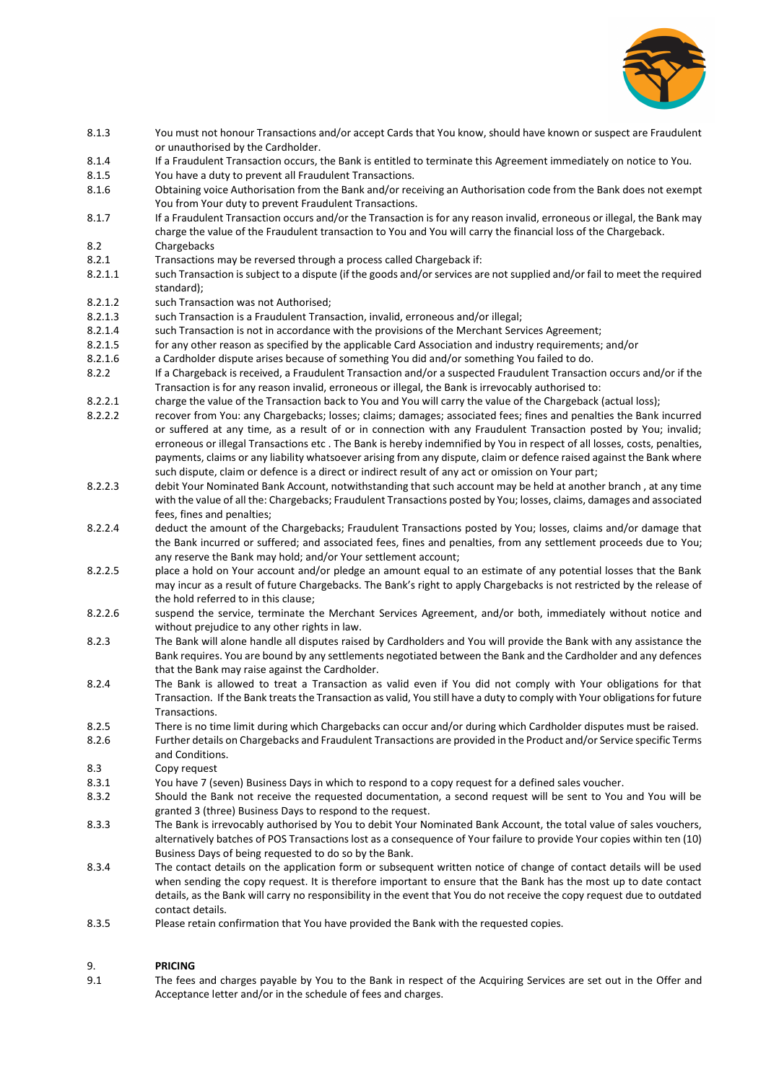

- 8.1.3 You must not honour Transactions and/or accept Cards that You know, should have known or suspect are Fraudulent or unauthorised by the Cardholder.
- 8.1.4 If a Fraudulent Transaction occurs, the Bank is entitled to terminate this Agreement immediately on notice to You.
- 8.1.5 You have a duty to prevent all Fraudulent Transactions.
- 8.1.6 Obtaining voice Authorisation from the Bank and/or receiving an Authorisation code from the Bank does not exempt You from Your duty to prevent Fraudulent Transactions.
- 8.1.7 If a Fraudulent Transaction occurs and/or the Transaction is for any reason invalid, erroneous or illegal, the Bank may charge the value of the Fraudulent transaction to You and You will carry the financial loss of the Chargeback. 8.2 Chargebacks
- 8.2.1 Transactions may be reversed through a process called Chargeback if:
- 8.2.1.1 such Transaction is subject to a dispute (if the goods and/or services are not supplied and/or fail to meet the required standard);
- 8.2.1.2 such Transaction was not Authorised;
- 8.2.1.3 such Transaction is a Fraudulent Transaction, invalid, erroneous and/or illegal;
- 8.2.1.4 such Transaction is not in accordance with the provisions of the Merchant Services Agreement;
- 8.2.1.5 for any other reason as specified by the applicable Card Association and industry requirements; and/or
- 8.2.1.6 a Cardholder dispute arises because of something You did and/or something You failed to do.
- 8.2.2 If a Chargeback is received, a Fraudulent Transaction and/or a suspected Fraudulent Transaction occurs and/or if the Transaction is for any reason invalid, erroneous or illegal, the Bank is irrevocably authorised to:
- 8.2.2.1 charge the value of the Transaction back to You and You will carry the value of the Chargeback (actual loss);
- 8.2.2.2 recover from You: any Chargebacks; losses; claims; damages; associated fees; fines and penalties the Bank incurred or suffered at any time, as a result of or in connection with any Fraudulent Transaction posted by You; invalid; erroneous or illegal Transactions etc . The Bank is hereby indemnified by You in respect of all losses, costs, penalties, payments, claims or any liability whatsoever arising from any dispute, claim or defence raised against the Bank where such dispute, claim or defence is a direct or indirect result of any act or omission on Your part;
- 8.2.2.3 debit Your Nominated Bank Account, notwithstanding that such account may be held at another branch , at any time with the value of all the: Chargebacks; Fraudulent Transactions posted by You; losses, claims, damages and associated fees, fines and penalties;
- 8.2.2.4 deduct the amount of the Chargebacks; Fraudulent Transactions posted by You; losses, claims and/or damage that the Bank incurred or suffered; and associated fees, fines and penalties, from any settlement proceeds due to You; any reserve the Bank may hold; and/or Your settlement account;
- 8.2.2.5 place a hold on Your account and/or pledge an amount equal to an estimate of any potential losses that the Bank may incur as a result of future Chargebacks. The Bank's right to apply Chargebacks is not restricted by the release of the hold referred to in this clause;
- 8.2.2.6 suspend the service, terminate the Merchant Services Agreement, and/or both, immediately without notice and without prejudice to any other rights in law.
- 8.2.3 The Bank will alone handle all disputes raised by Cardholders and You will provide the Bank with any assistance the Bank requires. You are bound by any settlements negotiated between the Bank and the Cardholder and any defences that the Bank may raise against the Cardholder.
- 8.2.4 The Bank is allowed to treat a Transaction as valid even if You did not comply with Your obligations for that Transaction. If the Bank treats the Transaction as valid, You still have a duty to comply with Your obligations for future Transactions.
- 8.2.5 There is no time limit during which Chargebacks can occur and/or during which Cardholder disputes must be raised.
- 8.2.6 Further details on Chargebacks and Fraudulent Transactions are provided in the Product and/or Service specific Terms and Conditions.
- 8.3 Copy request
- 8.3.1 You have 7 (seven) Business Days in which to respond to a copy request for a defined sales voucher.
- 8.3.2 Should the Bank not receive the requested documentation, a second request will be sent to You and You will be granted 3 (three) Business Days to respond to the request.
- 8.3.3 The Bank is irrevocably authorised by You to debit Your Nominated Bank Account, the total value of sales vouchers, alternatively batches of POS Transactions lost as a consequence of Your failure to provide Your copies within ten (10) Business Days of being requested to do so by the Bank.
- 8.3.4 The contact details on the application form or subsequent written notice of change of contact details will be used when sending the copy request. It is therefore important to ensure that the Bank has the most up to date contact details, as the Bank will carry no responsibility in the event that You do not receive the copy request due to outdated contact details.
- 8.3.5 Please retain confirmation that You have provided the Bank with the requested copies.

# 9. **PRICING**

9.1 The fees and charges payable by You to the Bank in respect of the Acquiring Services are set out in the Offer and Acceptance letter and/or in the schedule of fees and charges.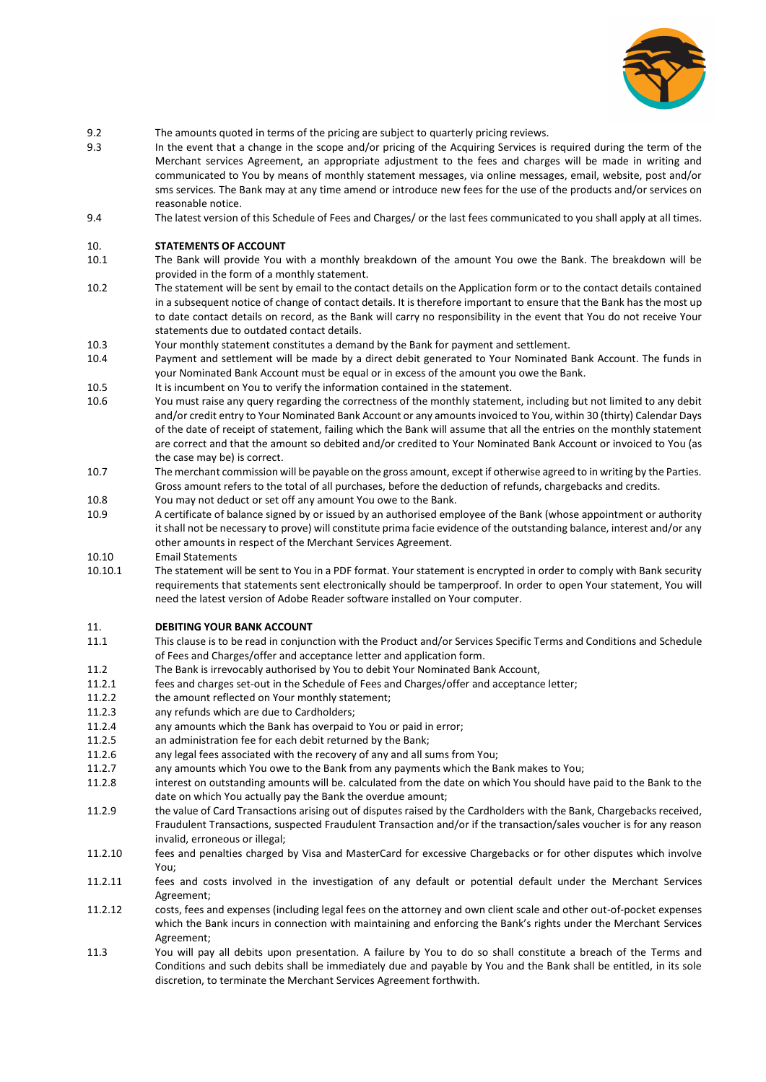

- 9.2 The amounts quoted in terms of the pricing are subject to quarterly pricing reviews.
- 9.3 In the event that a change in the scope and/or pricing of the Acquiring Services is required during the term of the Merchant services Agreement, an appropriate adjustment to the fees and charges will be made in writing and communicated to You by means of monthly statement messages, via online messages, email, website, post and/or sms services. The Bank may at any time amend or introduce new fees for the use of the products and/or services on reasonable notice.
- 9.4 The latest version of this Schedule of Fees and Charges/ or the last fees communicated to you shall apply at all times.

#### 10. **STATEMENTS OF ACCOUNT**

- 10.1 The Bank will provide You with a monthly breakdown of the amount You owe the Bank. The breakdown will be provided in the form of a monthly statement.
- 10.2 The statement will be sent by email to the contact details on the Application form or to the contact details contained in a subsequent notice of change of contact details. It is therefore important to ensure that the Bank has the most up to date contact details on record, as the Bank will carry no responsibility in the event that You do not receive Your statements due to outdated contact details.
- 10.3 Your monthly statement constitutes a demand by the Bank for payment and settlement.
- 10.4 Payment and settlement will be made by a direct debit generated to Your Nominated Bank Account. The funds in your Nominated Bank Account must be equal or in excess of the amount you owe the Bank.
- 10.5 It is incumbent on You to verify the information contained in the statement.
- 10.6 You must raise any query regarding the correctness of the monthly statement, including but not limited to any debit and/or credit entry to Your Nominated Bank Account or any amounts invoiced to You, within 30 (thirty) Calendar Days of the date of receipt of statement, failing which the Bank will assume that all the entries on the monthly statement are correct and that the amount so debited and/or credited to Your Nominated Bank Account or invoiced to You (as the case may be) is correct.
- 10.7 The merchant commission will be payable on the gross amount, except if otherwise agreed to in writing by the Parties. Gross amount refers to the total of all purchases, before the deduction of refunds, chargebacks and credits.
- 10.8 You may not deduct or set off any amount You owe to the Bank.
- 10.9 A certificate of balance signed by or issued by an authorised employee of the Bank (whose appointment or authority it shall not be necessary to prove) will constitute prima facie evidence of the outstanding balance, interest and/or any other amounts in respect of the Merchant Services Agreement.
- 10.10 Email Statements
- 10.10.1 The statement will be sent to You in a PDF format. Your statement is encrypted in order to comply with Bank security requirements that statements sent electronically should be tamperproof. In order to open Your statement, You will need the latest version of Adobe Reader software installed on Your computer.

#### 11. **DEBITING YOUR BANK ACCOUNT**

- 11.1 This clause is to be read in conjunction with the Product and/or Services Specific Terms and Conditions and Schedule of Fees and Charges/offer and acceptance letter and application form.
- 11.2 The Bank is irrevocably authorised by You to debit Your Nominated Bank Account,
- 11.2.1 fees and charges set-out in the Schedule of Fees and Charges/offer and acceptance letter;
- 11.2.2 the amount reflected on Your monthly statement;<br>11.2.3 any refunds which are due to Cardholders:
- any refunds which are due to Cardholders;
- 11.2.4 any amounts which the Bank has overpaid to You or paid in error;
- 11.2.5 an administration fee for each debit returned by the Bank;
- 11.2.6 any legal fees associated with the recovery of any and all sums from You;
- 11.2.7 any amounts which You owe to the Bank from any payments which the Bank makes to You;
- 11.2.8 interest on outstanding amounts will be. calculated from the date on which You should have paid to the Bank to the date on which You actually pay the Bank the overdue amount;
- 11.2.9 the value of Card Transactions arising out of disputes raised by the Cardholders with the Bank, Chargebacks received, Fraudulent Transactions, suspected Fraudulent Transaction and/or if the transaction/sales voucher is for any reason invalid, erroneous or illegal;
- 11.2.10 fees and penalties charged by Visa and MasterCard for excessive Chargebacks or for other disputes which involve You;
- 11.2.11 fees and costs involved in the investigation of any default or potential default under the Merchant Services Agreement;
- 11.2.12 costs, fees and expenses (including legal fees on the attorney and own client scale and other out-of-pocket expenses which the Bank incurs in connection with maintaining and enforcing the Bank's rights under the Merchant Services Agreement;
- 11.3 You will pay all debits upon presentation. A failure by You to do so shall constitute a breach of the Terms and Conditions and such debits shall be immediately due and payable by You and the Bank shall be entitled, in its sole discretion, to terminate the Merchant Services Agreement forthwith.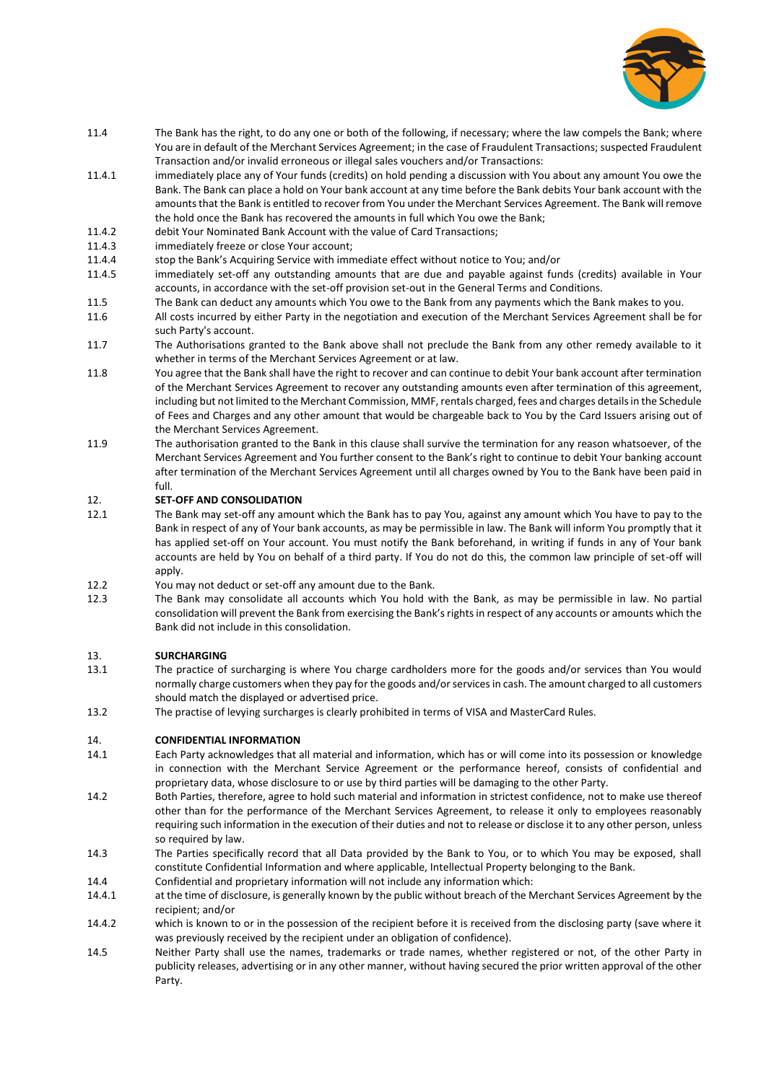

- 11.4 The Bank has the right, to do any one or both of the following, if necessary; where the law compels the Bank; where You are in default of the Merchant Services Agreement; in the case of Fraudulent Transactions; suspected Fraudulent Transaction and/or invalid erroneous or illegal sales vouchers and/or Transactions:
- 11.4.1 immediately place any of Your funds (credits) on hold pending a discussion with You about any amount You owe the Bank. The Bank can place a hold on Your bank account at any time before the Bank debits Your bank account with the amounts that the Bank is entitled to recover from You under the Merchant Services Agreement. The Bank will remove the hold once the Bank has recovered the amounts in full which You owe the Bank;
- 11.4.2 debit Your Nominated Bank Account with the value of Card Transactions;
- 11.4.3 immediately freeze or close Your account;
- 11.4.4 stop the Bank's Acquiring Service with immediate effect without notice to You; and/or

11.4.5 immediately set-off any outstanding amounts that are due and payable against funds (credits) available in Your accounts, in accordance with the set-off provision set-out in the General Terms and Conditions.

- 11.5 The Bank can deduct any amounts which You owe to the Bank from any payments which the Bank makes to you.
- 11.6 All costs incurred by either Party in the negotiation and execution of the Merchant Services Agreement shall be for such Party's account.
- 11.7 The Authorisations granted to the Bank above shall not preclude the Bank from any other remedy available to it whether in terms of the Merchant Services Agreement or at law.
- 11.8 You agree that the Bank shall have the right to recover and can continue to debit Your bank account after termination of the Merchant Services Agreement to recover any outstanding amounts even after termination of this agreement, including but not limited to the Merchant Commission, MMF, rentals charged, fees and charges details in the Schedule of Fees and Charges and any other amount that would be chargeable back to You by the Card Issuers arising out of the Merchant Services Agreement.
- 11.9 The authorisation granted to the Bank in this clause shall survive the termination for any reason whatsoever, of the Merchant Services Agreement and You further consent to the Bank's right to continue to debit Your banking account after termination of the Merchant Services Agreement until all charges owned by You to the Bank have been paid in full.

# 12. **SET-OFF AND CONSOLIDATION**

- 12.1 The Bank may set-off any amount which the Bank has to pay You, against any amount which You have to pay to the Bank in respect of any of Your bank accounts, as may be permissible in law. The Bank will inform You promptly that it has applied set-off on Your account. You must notify the Bank beforehand, in writing if funds in any of Your bank accounts are held by You on behalf of a third party. If You do not do this, the common law principle of set-off will apply.
- 12.2 You may not deduct or set-off any amount due to the Bank.
- 12.3 The Bank may consolidate all accounts which You hold with the Bank, as may be permissible in law. No partial consolidation will prevent the Bank from exercising the Bank's rights in respect of any accounts or amounts which the Bank did not include in this consolidation.

## 13. **SURCHARGING**

- 13.1 The practice of surcharging is where You charge cardholders more for the goods and/or services than You would normally charge customers when they pay for the goods and/or services in cash. The amount charged to all customers should match the displayed or advertised price.
- 13.2 The practise of levying surcharges is clearly prohibited in terms of VISA and MasterCard Rules.

## 14. **CONFIDENTIAL INFORMATION**

- 14.1 Each Party acknowledges that all material and information, which has or will come into its possession or knowledge in connection with the Merchant Service Agreement or the performance hereof, consists of confidential and proprietary data, whose disclosure to or use by third parties will be damaging to the other Party.
- 14.2 Both Parties, therefore, agree to hold such material and information in strictest confidence, not to make use thereof other than for the performance of the Merchant Services Agreement, to release it only to employees reasonably requiring such information in the execution of their duties and not to release or disclose it to any other person, unless so required by law.
- 14.3 The Parties specifically record that all Data provided by the Bank to You, or to which You may be exposed, shall constitute Confidential Information and where applicable, Intellectual Property belonging to the Bank.
- 14.4 Confidential and proprietary information will not include any information which:
- 14.4.1 at the time of disclosure, is generally known by the public without breach of the Merchant Services Agreement by the recipient; and/or
- 14.4.2 which is known to or in the possession of the recipient before it is received from the disclosing party (save where it was previously received by the recipient under an obligation of confidence).
- 14.5 Neither Party shall use the names, trademarks or trade names, whether registered or not, of the other Party in publicity releases, advertising or in any other manner, without having secured the prior written approval of the other Party.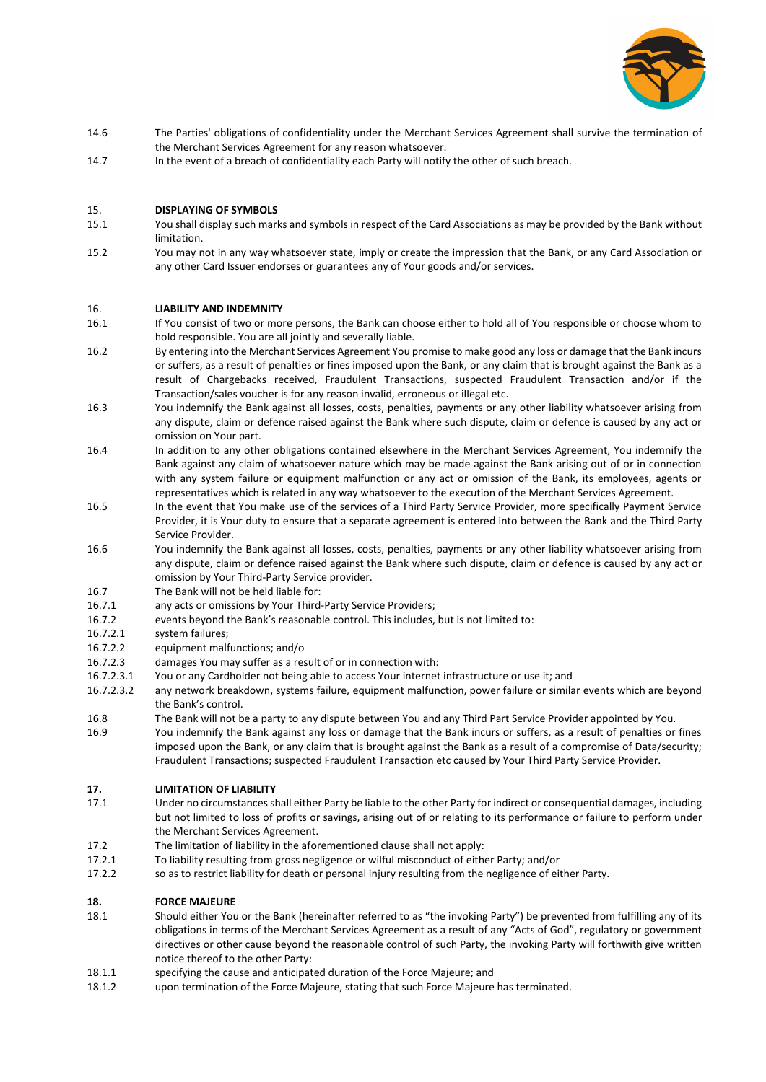

- 14.6 The Parties' obligations of confidentiality under the Merchant Services Agreement shall survive the termination of the Merchant Services Agreement for any reason whatsoever.
- 14.7 In the event of a breach of confidentiality each Party will notify the other of such breach.

## 15. **DISPLAYING OF SYMBOLS**

- 15.1 You shall display such marks and symbols in respect of the Card Associations as may be provided by the Bank without limitation.
- 15.2 You may not in any way whatsoever state, imply or create the impression that the Bank, or any Card Association or any other Card Issuer endorses or guarantees any of Your goods and/or services.

## 16. **LIABILITY AND INDEMNITY**

- 16.1 If You consist of two or more persons, the Bank can choose either to hold all of You responsible or choose whom to hold responsible. You are all jointly and severally liable.
- 16.2 By entering into the Merchant Services Agreement You promise to make good any loss or damage that the Bank incurs or suffers, as a result of penalties or fines imposed upon the Bank, or any claim that is brought against the Bank as a result of Chargebacks received, Fraudulent Transactions, suspected Fraudulent Transaction and/or if the Transaction/sales voucher is for any reason invalid, erroneous or illegal etc.
- 16.3 You indemnify the Bank against all losses, costs, penalties, payments or any other liability whatsoever arising from any dispute, claim or defence raised against the Bank where such dispute, claim or defence is caused by any act or omission on Your part.
- 16.4 In addition to any other obligations contained elsewhere in the Merchant Services Agreement, You indemnify the Bank against any claim of whatsoever nature which may be made against the Bank arising out of or in connection with any system failure or equipment malfunction or any act or omission of the Bank, its employees, agents or representatives which is related in any way whatsoever to the execution of the Merchant Services Agreement.
- 16.5 In the event that You make use of the services of a Third Party Service Provider, more specifically Payment Service Provider, it is Your duty to ensure that a separate agreement is entered into between the Bank and the Third Party Service Provider.
- 16.6 You indemnify the Bank against all losses, costs, penalties, payments or any other liability whatsoever arising from any dispute, claim or defence raised against the Bank where such dispute, claim or defence is caused by any act or omission by Your Third-Party Service provider.
- 16.7 The Bank will not be held liable for:
- 16.7.1 any acts or omissions by Your Third-Party Service Providers;
- 16.7.2 events beyond the Bank's reasonable control. This includes, but is not limited to:
- 16.7.2.1 system failures;
- 16.7.2.2 equipment malfunctions; and/o
- 16.7.2.3 damages You may suffer as a result of or in connection with:
- 16.7.2.3.1 You or any Cardholder not being able to access Your internet infrastructure or use it; and
- 16.7.2.3.2 any network breakdown, systems failure, equipment malfunction, power failure or similar events which are beyond the Bank's control.
- 16.8 The Bank will not be a party to any dispute between You and any Third Part Service Provider appointed by You.
- 16.9 You indemnify the Bank against any loss or damage that the Bank incurs or suffers, as a result of penalties or fines imposed upon the Bank, or any claim that is brought against the Bank as a result of a compromise of Data/security; Fraudulent Transactions; suspected Fraudulent Transaction etc caused by Your Third Party Service Provider.

## **17. LIMITATION OF LIABILITY**

- 17.1 Under no circumstances shall either Party be liable to the other Party for indirect or consequential damages, including but not limited to loss of profits or savings, arising out of or relating to its performance or failure to perform under the Merchant Services Agreement.
- 17.2 The limitation of liability in the aforementioned clause shall not apply:
- 17.2.1 To liability resulting from gross negligence or wilful misconduct of either Party; and/or
- 17.2.2 so as to restrict liability for death or personal injury resulting from the negligence of either Party.

## **18. FORCE MAJEURE**

- 18.1 Should either You or the Bank (hereinafter referred to as "the invoking Party") be prevented from fulfilling any of its obligations in terms of the Merchant Services Agreement as a result of any "Acts of God", regulatory or government directives or other cause beyond the reasonable control of such Party, the invoking Party will forthwith give written notice thereof to the other Party:
- 18.1.1 specifying the cause and anticipated duration of the Force Majeure; and
- 18.1.2 upon termination of the Force Majeure, stating that such Force Majeure has terminated.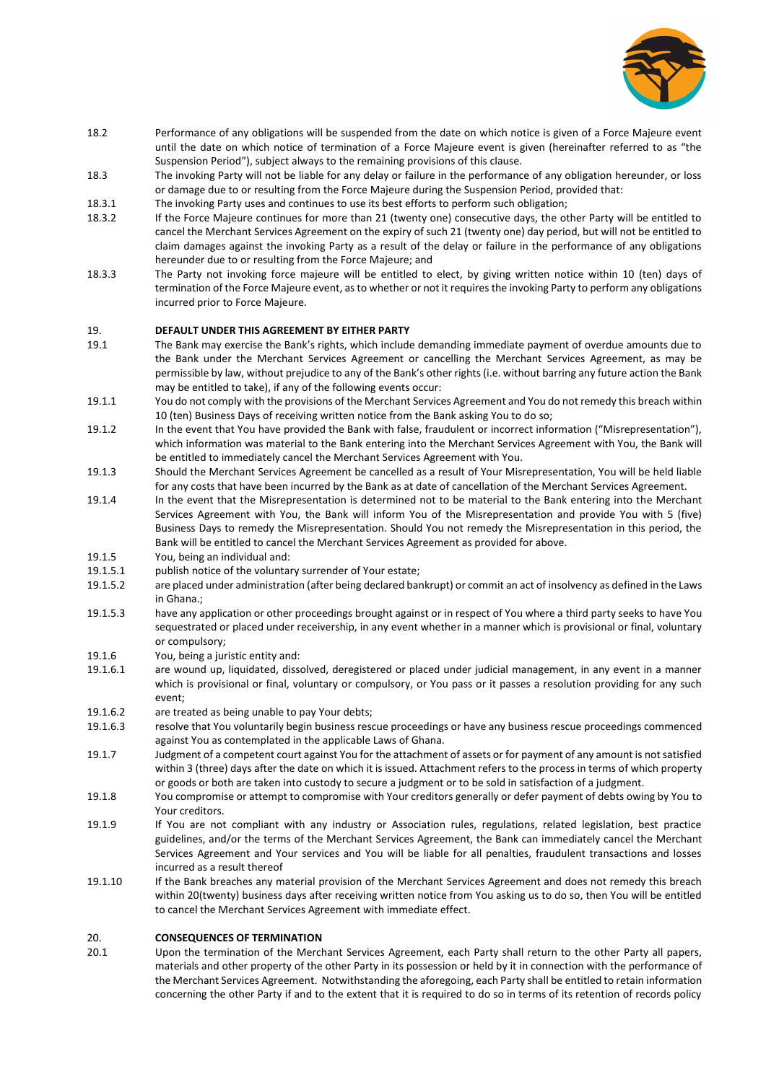

- 18.2 Performance of any obligations will be suspended from the date on which notice is given of a Force Majeure event until the date on which notice of termination of a Force Majeure event is given (hereinafter referred to as "the Suspension Period"), subject always to the remaining provisions of this clause.
- 18.3 The invoking Party will not be liable for any delay or failure in the performance of any obligation hereunder, or loss or damage due to or resulting from the Force Majeure during the Suspension Period, provided that:
- 18.3.1 The invoking Party uses and continues to use its best efforts to perform such obligation;
- 18.3.2 If the Force Majeure continues for more than 21 (twenty one) consecutive days, the other Party will be entitled to cancel the Merchant Services Agreement on the expiry of such 21 (twenty one) day period, but will not be entitled to claim damages against the invoking Party as a result of the delay or failure in the performance of any obligations hereunder due to or resulting from the Force Majeure; and
- 18.3.3 The Party not invoking force majeure will be entitled to elect, by giving written notice within 10 (ten) days of termination of the Force Majeure event, as to whether or not it requires the invoking Party to perform any obligations incurred prior to Force Majeure.

#### 19. **DEFAULT UNDER THIS AGREEMENT BY EITHER PARTY**

- 19.1 The Bank may exercise the Bank's rights, which include demanding immediate payment of overdue amounts due to the Bank under the Merchant Services Agreement or cancelling the Merchant Services Agreement, as may be permissible by law, without prejudice to any of the Bank's other rights (i.e. without barring any future action the Bank may be entitled to take), if any of the following events occur:
- 19.1.1 You do not comply with the provisions of the Merchant Services Agreement and You do not remedy this breach within 10 (ten) Business Days of receiving written notice from the Bank asking You to do so;
- 19.1.2 In the event that You have provided the Bank with false, fraudulent or incorrect information ("Misrepresentation"), which information was material to the Bank entering into the Merchant Services Agreement with You, the Bank will be entitled to immediately cancel the Merchant Services Agreement with You.
- 19.1.3 Should the Merchant Services Agreement be cancelled as a result of Your Misrepresentation, You will be held liable for any costs that have been incurred by the Bank as at date of cancellation of the Merchant Services Agreement.
- 19.1.4 In the event that the Misrepresentation is determined not to be material to the Bank entering into the Merchant Services Agreement with You, the Bank will inform You of the Misrepresentation and provide You with 5 (five) Business Days to remedy the Misrepresentation. Should You not remedy the Misrepresentation in this period, the Bank will be entitled to cancel the Merchant Services Agreement as provided for above.
- 19.1.5 You, being an individual and:
- 19.1.5.1 publish notice of the voluntary surrender of Your estate;
- 19.1.5.2 are placed under administration (after being declared bankrupt) or commit an act of insolvency as defined in the Laws in Ghana.;
- 19.1.5.3 have any application or other proceedings brought against or in respect of You where a third party seeks to have You sequestrated or placed under receivership, in any event whether in a manner which is provisional or final, voluntary or compulsory;
- 19.1.6 You, being a juristic entity and:
- 19.1.6.1 are wound up, liquidated, dissolved, deregistered or placed under judicial management, in any event in a manner which is provisional or final, voluntary or compulsory, or You pass or it passes a resolution providing for any such event;
- 19.1.6.2 are treated as being unable to pay Your debts;
- 19.1.6.3 resolve that You voluntarily begin business rescue proceedings or have any business rescue proceedings commenced against You as contemplated in the applicable Laws of Ghana.
- 19.1.7 Judgment of a competent court against You for the attachment of assets or for payment of any amount is not satisfied within 3 (three) days after the date on which it is issued. Attachment refers to the process in terms of which property or goods or both are taken into custody to secure a judgment or to be sold in satisfaction of a judgment.
- 19.1.8 You compromise or attempt to compromise with Your creditors generally or defer payment of debts owing by You to Your creditors.
- 19.1.9 If You are not compliant with any industry or Association rules, regulations, related legislation, best practice guidelines, and/or the terms of the Merchant Services Agreement, the Bank can immediately cancel the Merchant Services Agreement and Your services and You will be liable for all penalties, fraudulent transactions and losses incurred as a result thereof
- 19.1.10 If the Bank breaches any material provision of the Merchant Services Agreement and does not remedy this breach within 20(twenty) business days after receiving written notice from You asking us to do so, then You will be entitled to cancel the Merchant Services Agreement with immediate effect.

## 20. **CONSEQUENCES OF TERMINATION**

20.1 Upon the termination of the Merchant Services Agreement, each Party shall return to the other Party all papers, materials and other property of the other Party in its possession or held by it in connection with the performance of the Merchant Services Agreement. Notwithstanding the aforegoing, each Party shall be entitled to retain information concerning the other Party if and to the extent that it is required to do so in terms of its retention of records policy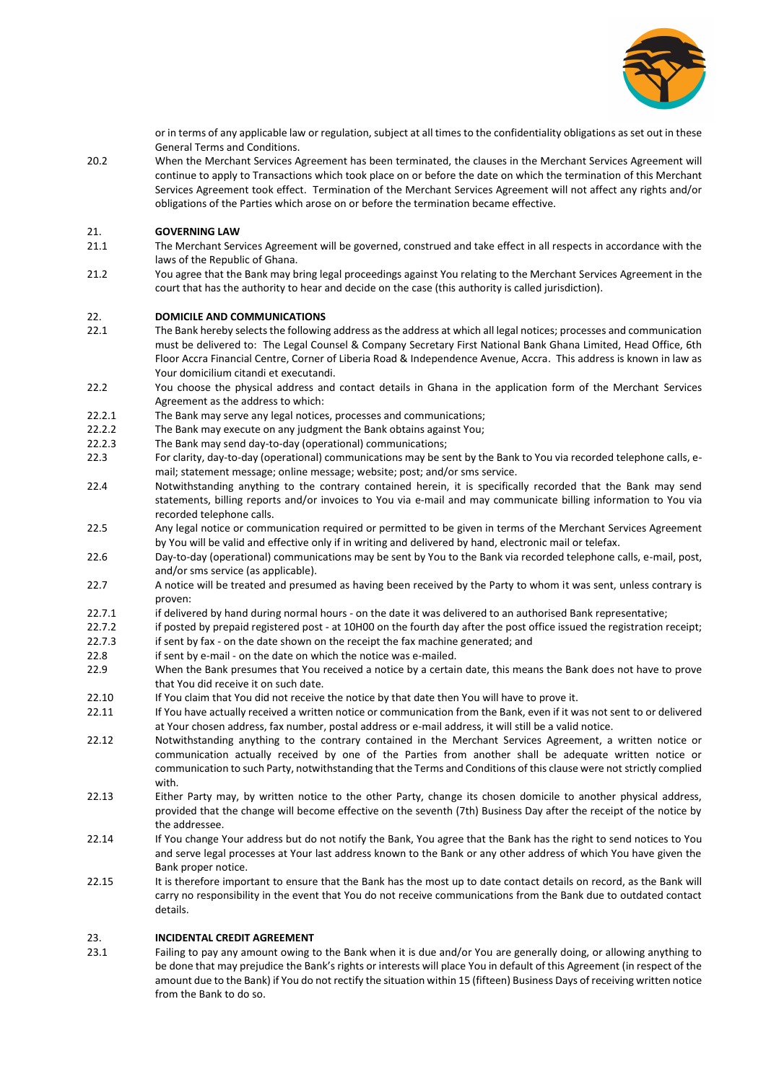

or in terms of any applicable law or regulation, subject at all times to the confidentiality obligations as set out in these General Terms and Conditions.

20.2 When the Merchant Services Agreement has been terminated, the clauses in the Merchant Services Agreement will continue to apply to Transactions which took place on or before the date on which the termination of this Merchant Services Agreement took effect. Termination of the Merchant Services Agreement will not affect any rights and/or obligations of the Parties which arose on or before the termination became effective.

# 21. **GOVERNING LAW**

- 21.1 The Merchant Services Agreement will be governed, construed and take effect in all respects in accordance with the laws of the Republic of Ghana.
- 21.2 You agree that the Bank may bring legal proceedings against You relating to the Merchant Services Agreement in the court that has the authority to hear and decide on the case (this authority is called jurisdiction).

## 22. **DOMICILE AND COMMUNICATIONS**

- 22.1 The Bank hereby selects the following address as the address at which all legal notices; processes and communication must be delivered to: The Legal Counsel & Company Secretary First National Bank Ghana Limited, Head Office, 6th Floor Accra Financial Centre, Corner of Liberia Road & Independence Avenue, Accra. This address is known in law as Your domicilium citandi et executandi.
- 22.2 You choose the physical address and contact details in Ghana in the application form of the Merchant Services Agreement as the address to which:
- 22.2.1 The Bank may serve any legal notices, processes and communications;
- 22.2.2 The Bank may execute on any judgment the Bank obtains against You;
- 22.2.3 The Bank may send day-to-day (operational) communications;
- 22.3 For clarity, day-to-day (operational) communications may be sent by the Bank to You via recorded telephone calls, email; statement message; online message; website; post; and/or sms service.
- 22.4 Notwithstanding anything to the contrary contained herein, it is specifically recorded that the Bank may send statements, billing reports and/or invoices to You via e-mail and may communicate billing information to You via recorded telephone calls.
- 22.5 Any legal notice or communication required or permitted to be given in terms of the Merchant Services Agreement by You will be valid and effective only if in writing and delivered by hand, electronic mail or telefax.
- 22.6 Day-to-day (operational) communications may be sent by You to the Bank via recorded telephone calls, e-mail, post, and/or sms service (as applicable).
- 22.7 A notice will be treated and presumed as having been received by the Party to whom it was sent, unless contrary is proven:
- 22.7.1 if delivered by hand during normal hours on the date it was delivered to an authorised Bank representative;
- 22.7.2 if posted by prepaid registered post at 10H00 on the fourth day after the post office issued the registration receipt; 22.7.3 if sent by fax - on the date shown on the receipt the fax machine generated; and
- 22.8 if sent by e-mail on the date on which the notice was e-mailed.
- 22.9 When the Bank presumes that You received a notice by a certain date, this means the Bank does not have to prove that You did receive it on such date.
- 22.10 If You claim that You did not receive the notice by that date then You will have to prove it.
- 22.11 If You have actually received a written notice or communication from the Bank, even if it was not sent to or delivered at Your chosen address, fax number, postal address or e-mail address, it will still be a valid notice.
- 22.12 Notwithstanding anything to the contrary contained in the Merchant Services Agreement, a written notice or communication actually received by one of the Parties from another shall be adequate written notice or communication to such Party, notwithstanding that the Terms and Conditions of this clause were not strictly complied with.
- 22.13 Either Party may, by written notice to the other Party, change its chosen domicile to another physical address, provided that the change will become effective on the seventh (7th) Business Day after the receipt of the notice by the addressee.
- 22.14 If You change Your address but do not notify the Bank, You agree that the Bank has the right to send notices to You and serve legal processes at Your last address known to the Bank or any other address of which You have given the Bank proper notice.
- 22.15 It is therefore important to ensure that the Bank has the most up to date contact details on record, as the Bank will carry no responsibility in the event that You do not receive communications from the Bank due to outdated contact details.

## 23. **INCIDENTAL CREDIT AGREEMENT**

23.1 Failing to pay any amount owing to the Bank when it is due and/or You are generally doing, or allowing anything to be done that may prejudice the Bank's rights or interests will place You in default of this Agreement (in respect of the amount due to the Bank) if You do not rectify the situation within 15 (fifteen) Business Days of receiving written notice from the Bank to do so.